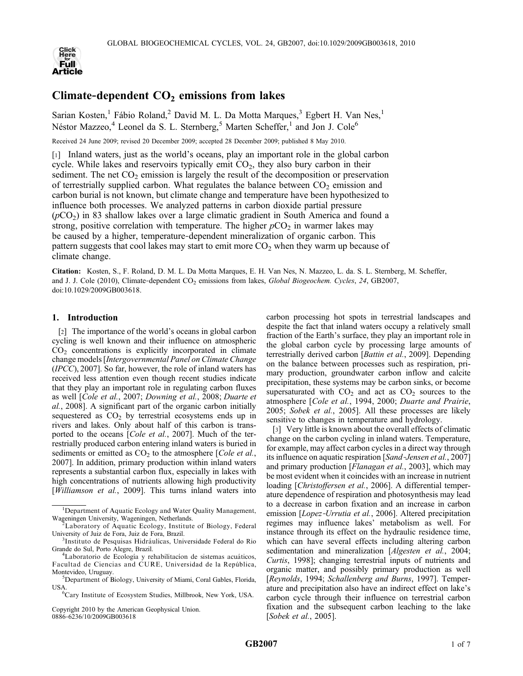

# Climate-dependent  $CO<sub>2</sub>$  emissions from lakes

Sarian Kosten,<sup>1</sup> Fábio Roland,<sup>2</sup> David M. L. Da Motta Marques,<sup>3</sup> Egbert H. Van Nes,<sup>1</sup> Néstor Mazzeo,<sup>4</sup> Leonel da S. L. Sternberg,<sup>5</sup> Marten Scheffer,<sup>1</sup> and Jon J. Cole<sup>6</sup>

Received 24 June 2009; revised 20 December 2009; accepted 28 December 2009; published 8 May 2010.

[1] Inland waters, just as the world's oceans, play an important role in the global carbon cycle. While lakes and reservoirs typically emit  $CO<sub>2</sub>$ , they also bury carbon in their sediment. The net  $CO<sub>2</sub>$  emission is largely the result of the decomposition or preservation of terrestrially supplied carbon. What regulates the balance between  $CO<sub>2</sub>$  emission and carbon burial is not known, but climate change and temperature have been hypothesized to influence both processes. We analyzed patterns in carbon dioxide partial pressure  $(pCO<sub>2</sub>)$  in 83 shallow lakes over a large climatic gradient in South America and found a strong, positive correlation with temperature. The higher  $pCO<sub>2</sub>$  in warmer lakes may be caused by a higher, temperature‐dependent mineralization of organic carbon. This pattern suggests that cool lakes may start to emit more  $CO<sub>2</sub>$  when they warm up because of climate change.

Citation: Kosten, S., F. Roland, D. M. L. Da Motta Marques, E. H. Van Nes, N. Mazzeo, L. da. S. L. Sternberg, M. Scheffer, and J. J. Cole (2010), Climate-dependent CO<sub>2</sub> emissions from lakes, Global Biogeochem. Cycles, 24, GB2007, doi:10.1029/2009GB003618.

# 1. Introduction

[2] The importance of the world's oceans in global carbon cycling is well known and their influence on atmospheric  $CO<sub>2</sub>$  concentrations is explicitly incorporated in climate change models [Intergovernmental Panel on Climate Change (IPCC), 2007]. So far, however, the role of inland waters has received less attention even though recent studies indicate that they play an important role in regulating carbon fluxes as well [Cole et al., 2007; Downing et al., 2008; Duarte et al., 2008]. A significant part of the organic carbon initially sequestered as  $CO<sub>2</sub>$  by terrestrial ecosystems ends up in rivers and lakes. Only about half of this carbon is transported to the oceans [*Cole et al.*, 2007]. Much of the terrestrially produced carbon entering inland waters is buried in sediments or emitted as  $CO<sub>2</sub>$  to the atmosphere [*Cole et al.*, 2007]. In addition, primary production within inland waters represents a substantial carbon flux, especially in lakes with high concentrations of nutrients allowing high productivity [Williamson et al., 2009]. This turns inland waters into

Copyright 2010 by the American Geophysical Union. 0886‐6236/10/2009GB003618

carbon processing hot spots in terrestrial landscapes and despite the fact that inland waters occupy a relatively small fraction of the Earth's surface, they play an important role in the global carbon cycle by processing large amounts of terrestrially derived carbon [Battin et al., 2009]. Depending on the balance between processes such as respiration, primary production, groundwater carbon inflow and calcite precipitation, these systems may be carbon sinks, or become supersaturated with  $CO<sub>2</sub>$  and act as  $CO<sub>2</sub>$  sources to the atmosphere [Cole et al., 1994, 2000; Duarte and Prairie, 2005; Sobek et al., 2005]. All these processes are likely sensitive to changes in temperature and hydrology.

[3] Very little is known about the overall effects of climatic change on the carbon cycling in inland waters. Temperature, for example, may affect carbon cycles in a direct way through its influence on aquatic respiration [Sand‐Jensen et al., 2007] and primary production [*Flanagan et al.*, 2003], which may be most evident when it coincides with an increase in nutrient loading [Christoffersen et al., 2006]. A differential temperature dependence of respiration and photosynthesis may lead to a decrease in carbon fixation and an increase in carbon emission [Lopez‐Urrutia et al., 2006]. Altered precipitation regimes may influence lakes' metabolism as well. For instance through its effect on the hydraulic residence time, which can have several effects including altering carbon sedimentation and mineralization [*Algesten et al.*, 2004; Curtis, 1998]; changing terrestrial inputs of nutrients and organic matter, and possibly primary production as well [Reynolds, 1994; Schallenberg and Burns, 1997]. Temperature and precipitation also have an indirect effect on lake's carbon cycle through their influence on terrestrial carbon fixation and the subsequent carbon leaching to the lake [Sobek et al., 2005].

<sup>&</sup>lt;sup>1</sup>Department of Aquatic Ecology and Water Quality Management, Wageningen University, Wageningen, Netherlands. <sup>2</sup>

Laboratory of Aquatic Ecology, Institute of Biology, Federal University of Juiz de Fora, Juiz de Fora, Brazil. <sup>3</sup>

<sup>&</sup>lt;sup>3</sup>Instituto de Pesquisas Hidráulicas, Universidade Federal do Rio Grande do Sul, Porto Alegre, Brazil. <sup>4</sup>

<sup>&</sup>lt;sup>4</sup>Laboratorio de Ecología y rehabilitacion de sistemas acuáticos, Facultad de Ciencias and CURE, Universidad de la República, Montevideo, Uruguay.

<sup>&</sup>lt;sup>5</sup>Department of Biology, University of Miami, Coral Gables, Florida, USA

Cary Institute of Ecosystem Studies, Millbrook, New York, USA.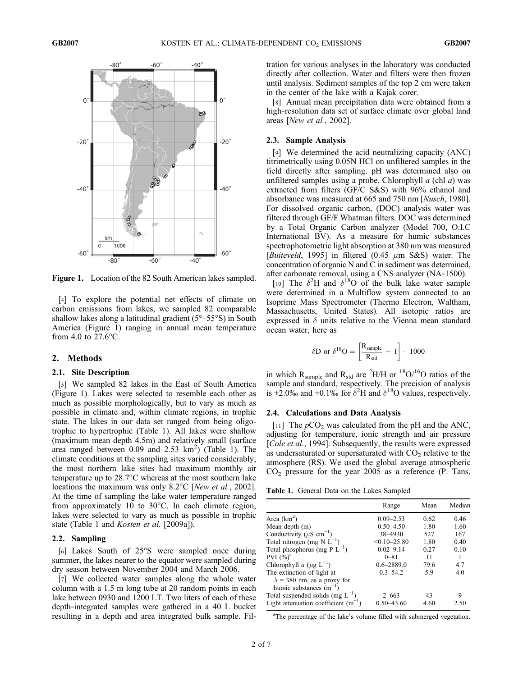

Figure 1. Location of the 82 South American lakes sampled.

[4] To explore the potential net effects of climate on carbon emissions from lakes, we sampled 82 comparable shallow lakes along a latitudinal gradient (5°–55°S) in South America (Figure 1) ranging in annual mean temperature from 4.0 to 27.6°C.

## 2. Methods

#### 2.1. Site Description

[5] We sampled 82 lakes in the East of South America (Figure 1). Lakes were selected to resemble each other as much as possible morphologically, but to vary as much as possible in climate and, within climate regions, in trophic state. The lakes in our data set ranged from being oligotrophic to hypertrophic (Table 1). All lakes were shallow (maximum mean depth 4.5m) and relatively small (surface area ranged between 0.09 and 2.53  $\text{km}^2$ ) (Table 1). The climate conditions at the sampling sites varied considerably; the most northern lake sites had maximum monthly air temperature up to 28.7°C whereas at the most southern lake locations the maximum was only 8.2°C [New et al., 2002]. At the time of sampling the lake water temperature ranged from approximately 10 to 30°C. In each climate region, lakes were selected to vary as much as possible in trophic state (Table 1 and Kosten et al. [2009a]).

#### 2.2. Sampling

[6] Lakes South of 25°S were sampled once during summer, the lakes nearer to the equator were sampled during dry season between November 2004 and March 2006.

[7] We collected water samples along the whole water column with a 1.5 m long tube at 20 random points in each lake between 0930 and 1200 LT. Two liters of each of these depth‐integrated samples were gathered in a 40 L bucket resulting in a depth and area integrated bulk sample. Filtration for various analyses in the laboratory was conducted directly after collection. Water and filters were then frozen until analysis. Sediment samples of the top 2 cm were taken in the center of the lake with a Kajak corer.

[8] Annual mean precipitation data were obtained from a high-resolution data set of surface climate over global land areas [New et al., 2002].

## 2.3. Sample Analysis

[9] We determined the acid neutralizing capacity (ANC) titrimetrically using 0.05N HCl on unfiltered samples in the field directly after sampling. pH was determined also on unfiltered samples using a probe. Chlorophyll  $a$  (chl  $a$ ) was extracted from filters (GF/C S&S) with 96% ethanol and absorbance was measured at 665 and 750 nm [Nusch, 1980]. For dissolved organic carbon, (DOC) analysis water was filtered through GF/F Whatman filters. DOC was determined by a Total Organic Carbon analyzer (Model 700, O.I.C International BV). As a measure for humic substances spectrophotometric light absorption at 380 nm was measured [Buiteveld, 1995] in filtered (0.45  $\mu$ m S&S) water. The concentration of organic N and C in sediment was determined, after carbonate removal, using a CNS analyzer (NA‐1500).

[10] The  $\delta^2$ H and  $\delta^{18}$ O of the bulk lake water sample were determined in a Multiflow system connected to an Isoprime Mass Spectrometer (Thermo Electron, Waltham, Massachusetts, United States). All isotopic ratios are expressed in  $\delta$  units relative to the Vienna mean standard ocean water, here as

$$
\delta D \text{ or } \delta^{18}O = \left[\frac{R_{sample}}{R_{std}} - 1\right] \cdot 1000
$$

in which  $R_{\text{sample}}$  and  $R_{\text{std}}$  are <sup>2</sup>H/H or <sup>18</sup>O/<sup>16</sup>O ratios of the sample and standard, respectively. The precision of analysis is  $\pm 2.0\%$  and  $\pm 0.1\%$  for  $\delta^2$ H and  $\delta^{18}$ O values, respectively.

# 2.4. Calculations and Data Analysis

[11] The  $pCO<sub>2</sub>$  was calculated from the pH and the ANC, adjusting for temperature, ionic strength and air pressure [*Cole et al.*, 1994]. Subsequently, the results were expressed as undersaturated or supersaturated with  $CO<sub>2</sub>$  relative to the atmosphere (RS). We used the global average atmospheric  $CO<sub>2</sub>$  pressure for the year 2005 as a reference (P. Tans,

Table 1. General Data on the Lakes Sampled

|                                                                   | Range            | Mean | Median |
|-------------------------------------------------------------------|------------------|------|--------|
| Area $(km^2)$                                                     | $0.09 - 2.53$    | 0.62 | 0.46   |
| Mean depth (m)                                                    | $0.50 - 4.50$    | 1.80 | 1.60   |
| Conductivity ( $\mu$ S cm <sup>-1</sup> )                         | 38-4930          | 527  | 167    |
| Total nitrogen (mg N $L^{-1}$ )                                   | $< 0.10 - 25.80$ | 1.80 | 0.40   |
| Total phosphorus (mg P $L^{-1}$ )                                 | $0.02 - 9.14$    | 0.27 | 0.10   |
| PVI $(\%)^a$                                                      | $0 - 81$         | 11   |        |
| Chlorophyll a ( $\mu$ g L <sup>-1</sup> )                         | $0.6 - 2889.0$   | 79.6 | 4.7    |
| The extinction of light at                                        | $0.3 - 54.2$     | 5.9  | 4.0    |
| $\lambda$ = 380 nm, as a proxy for<br>humic substances $(m^{-1})$ |                  |      |        |
| Total suspended solids (mg $L^{-1}$ )                             | $2 - 663$        | 43   | 9      |
| Light attenuation coefficient $(m^{-1})$                          | $0.50 - 43.60$   | 4.60 | 2.50   |

<sup>a</sup>The percentage of the lake's volume filled with submerged vegetation.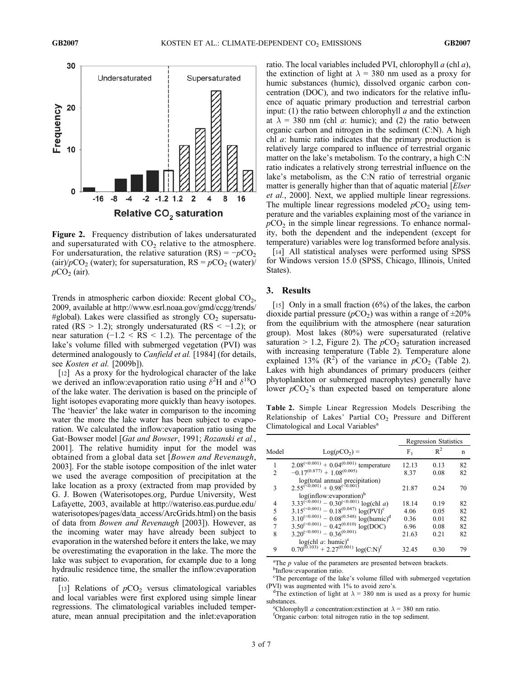

Figure 2. Frequency distribution of lakes undersaturated and supersaturated with  $CO<sub>2</sub>$  relative to the atmosphere. For undersaturation, the relative saturation (RS) =  $-pCO<sub>2</sub>$ (air)/ $pCO_2$  (water); for supersaturation, RS =  $pCO_2$  (water)/  $pCO<sub>2</sub>$  (air).

Trends in atmospheric carbon dioxide: Recent global  $CO<sub>2</sub>$ , 2009, available at http://www.esrl.noaa.gov/gmd/ccgg/trends/ #global). Lakes were classified as strongly  $CO<sub>2</sub>$  supersaturated (RS > 1.2); strongly undersaturated (RS <  $-1.2$ ); or near saturation  $(-1.2 \leq RS \leq 1.2)$ . The percentage of the lake's volume filled with submerged vegetation (PVI) was determined analogously to *Canfield et al.* [1984] (for details, see Kosten et al. [2009b]).

[12] As a proxy for the hydrological character of the lake we derived an inflow: evaporation ratio using  $\delta^2$ H and  $\delta^{18}$ O of the lake water. The derivation is based on the principle of light isotopes evaporating more quickly than heavy isotopes. The 'heavier' the lake water in comparison to the incoming water the more the lake water has been subject to evaporation. We calculated the inflow:evaporation ratio using the Gat-Bowser model [*Gat and Bowser*, 1991; Rozanski et al., 2001]. The relative humidity input for the model was obtained from a global data set [Bowen and Revenaugh, 2003]. For the stable isotope composition of the inlet water we used the average composition of precipitation at the lake location as a proxy (extracted from map provided by G. J. Bowen (Waterisotopes.org, Purdue University, West Lafayette, 2003, available at http://wateriso.eas.purdue.edu/ waterisotopes/pages/data\_access/ArcGrids.html) on the basis of data from Bowen and Revenaugh [2003]). However, as the incoming water may have already been subject to evaporation in the watershed before it enters the lake, we may be overestimating the evaporation in the lake. The more the lake was subject to evaporation, for example due to a long hydraulic residence time, the smaller the inflow:evaporation ratio.

[13] Relations of  $pCO<sub>2</sub>$  versus climatological variables and local variables were first explored using simple linear regressions. The climatological variables included temperature, mean annual precipitation and the inlet:evaporation

ratio. The local variables included PVI, chlorophyll  $a$  (chl  $a$ ), the extinction of light at  $\lambda = 380$  nm used as a proxy for humic substances (humic), dissolved organic carbon concentration (DOC), and two indicators for the relative influence of aquatic primary production and terrestrial carbon input: (1) the ratio between chlorophyll  $a$  and the extinction at  $\lambda = 380$  nm (chl *a*: humic); and (2) the ratio between organic carbon and nitrogen in the sediment (C:N). A high chl a: humic ratio indicates that the primary production is relatively large compared to influence of terrestrial organic matter on the lake's metabolism. To the contrary, a high C:N ratio indicates a relatively strong terrestrial influence on the lake's metabolism, as the C:N ratio of terrestrial organic matter is generally higher than that of aquatic material [*Elser* et al., 2000]. Next, we applied multiple linear regressions. The multiple linear regressions modeled  $pCO<sub>2</sub>$  using temperature and the variables explaining most of the variance in  $pCO<sub>2</sub>$  in the simple linear regressions. To enhance normality, both the dependent and the independent (except for temperature) variables were log transformed before analysis.

[14] All statistical analyses were performed using SPSS for Windows version 15.0 (SPSS, Chicago, Illinois, United States).

## 3. Results

[15] Only in a small fraction  $(6\%)$  of the lakes, the carbon dioxide partial pressure ( $pCO<sub>2</sub>$ ) was within a range of  $\pm 20\%$ from the equilibrium with the atmosphere (near saturation group). Most lakes (80%) were supersaturated (relative saturation > 1.2, Figure 2). The  $pCO<sub>2</sub>$  saturation increased with increasing temperature (Table 2). Temperature alone explained 13%  $(R^2)$  of the variance in  $pCO_2$  (Table 2). Lakes with high abundances of primary producers (either phytoplankton or submerged macrophytes) generally have lower  $pCO_2$ 's than expected based on temperature alone

Table 2. Simple Linear Regression Models Describing the Relationship of Lakes' Partial CO<sub>2</sub> Pressure and Different Climatological and Local Variables<sup>a</sup>

|               |                                                                                                                        | <b>Regression Statistics</b> |       |    |
|---------------|------------------------------------------------------------------------------------------------------------------------|------------------------------|-------|----|
| Model         | $Log(pCO2) =$                                                                                                          | F,                           | $R^2$ | n  |
|               | $2.08^{(<0.001)$ + 0.04 <sup>(0.001)</sup> temperature                                                                 | 12.13                        | 0.13  | 82 |
| $\mathcal{D}$ | $-0.17^{(0.877)} + 1.08^{(0.005)}$                                                                                     | 8.37                         | 0.08  | 82 |
| 3             | log(total annual precipitation)<br>$2.55^{(\geq 0.001)} + 0.98^{(\geq 0.001)}$<br>log(inflow:evaporation) <sup>b</sup> | 21.87                        | 0.24  | 70 |
| 4             | $3.33^{(0.001)} - 0.30^{(0.001)}$<br>log(chl a)                                                                        | 18.14                        | 0.19  | 82 |
| 5             | $3.15^{(<0.001)} - 0.18^{(0.047)} \log(PVI)^{c}$                                                                       | 4.06                         | 0.05  | 82 |
| 6             | $3.10^{(<0.001)} - 0.08^{(0.548)} \log(humic)^d$                                                                       | 0.36                         | 0.01  | 82 |
| 7             | $3.50^{(<0.001)} - 0.42^{(0.010)} \log(DOC)$                                                                           | 6.96                         | 0.08  | 82 |
| 8             | $3.20^{(<0.001)} - 0.36^{(0.001)}$                                                                                     | 21.63                        | 0.21  | 82 |
| 9             | $log(chl \, a: \, humic)^e$<br>$0.70^{(0.103)} + 2.27^{(0.001)} \log(C;N)^f$                                           | 32.45                        | 0.30  | 79 |

<sup>a</sup>The *p* value of the parameters are presented between brackets. <sup>b</sup>Inflow:evaporation ratio.

<sup>c</sup>The percentage of the lake's volume filled with submerged vegetation  $(PVI)$  was augmented with  $1\%$  to avoid zero's.

<sup>d</sup>The extinction of light at  $\lambda$  = 380 nm is used as a proxy for humic substances.

e<sup>e</sup>Chlorophyll *a* concentration: extinction at  $\lambda = 380$  nm ratio.

<sup>f</sup>Organic carbon: total nitrogen ratio in the top sediment.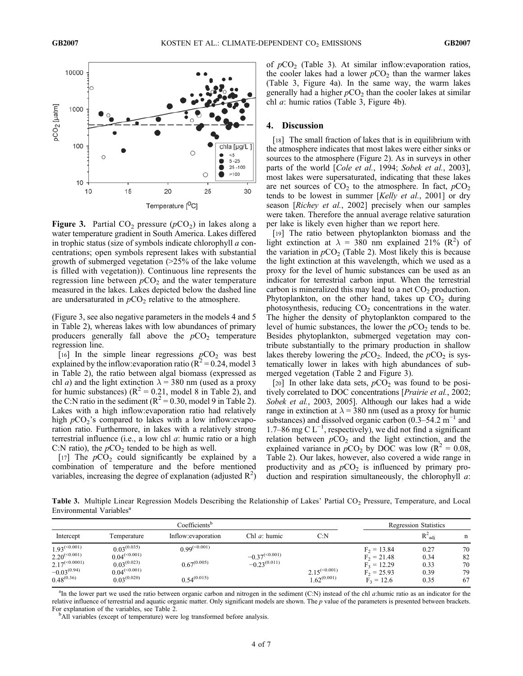

Figure 3. Partial  $CO_2$  pressure ( $pCO_2$ ) in lakes along a water temperature gradient in South America. Lakes differed in trophic status (size of symbols indicate chlorophyll a concentrations; open symbols represent lakes with substantial growth of submerged vegetation (>25% of the lake volume is filled with vegetation)). Continuous line represents the regression line between  $pCO<sub>2</sub>$  and the water temperature measured in the lakes. Lakes depicted below the dashed line are undersaturated in  $pCO<sub>2</sub>$  relative to the atmosphere.

(Figure 3, see also negative parameters in the models 4 and 5 in Table 2), whereas lakes with low abundances of primary producers generally fall above the  $pCO<sub>2</sub>$  temperature regression line.

[16] In the simple linear regressions  $pCO<sub>2</sub>$  was best explained by the inflow: evaporation ratio ( $R^2$  = 0.24, model 3 in Table 2), the ratio between algal biomass (expressed as chl *a*) and the light extinction  $\lambda = 380$  nm (used as a proxy for humic substances) ( $R^2 = 0.21$ , model 8 in Table 2), and the C:N ratio in the sediment  $(R^2 = 0.30$ , model 9 in Table 2). Lakes with a high inflow:evaporation ratio had relatively high  $pCO_2$ 's compared to lakes with a low inflow: evaporation ratio. Furthermore, in lakes with a relatively strong terrestrial influence (i.e., a low chl  $a$ : humic ratio or a high C:N ratio), the  $pCO<sub>2</sub>$  tended to be high as well.

[17] The  $pCO<sub>2</sub>$  could significantly be explained by a combination of temperature and the before mentioned variables, increasing the degree of explanation (adjusted  $R^2$ )

of  $pCO<sub>2</sub>$  (Table 3). At similar inflow: evaporation ratios, the cooler lakes had a lower  $pCO<sub>2</sub>$  than the warmer lakes (Table 3, Figure 4a). In the same way, the warm lakes generally had a higher  $pCO<sub>2</sub>$  than the cooler lakes at similar chl a: humic ratios (Table 3, Figure 4b).

## 4. Discussion

[18] The small fraction of lakes that is in equilibrium with the atmosphere indicates that most lakes were either sinks or sources to the atmosphere (Figure 2). As in surveys in other parts of the world [Cole et al., 1994; Sobek et al., 2003], most lakes were supersaturated, indicating that these lakes are net sources of  $CO<sub>2</sub>$  to the atmosphere. In fact,  $pCO<sub>2</sub>$ tends to be lowest in summer [Kelly et al., 2001] or dry season [Richey et al., 2002] precisely when our samples were taken. Therefore the annual average relative saturation per lake is likely even higher than we report here.

[19] The ratio between phytoplankton biomass and the light extinction at  $\lambda = 380$  nm explained 21% (R<sup>2</sup>) of the variation in  $pCO<sub>2</sub>$  (Table 2). Most likely this is because the light extinction at this wavelength, which we used as a proxy for the level of humic substances can be used as an indicator for terrestrial carbon input. When the terrestrial carbon is mineralized this may lead to a net  $CO<sub>2</sub>$  production. Phytoplankton, on the other hand, takes up  $CO<sub>2</sub>$  during photosynthesis, reducing  $CO<sub>2</sub>$  concentrations in the water. The higher the density of phytoplankton compared to the level of humic substances, the lower the  $pCO<sub>2</sub>$  tends to be. Besides phytoplankton, submerged vegetation may contribute substantially to the primary production in shallow lakes thereby lowering the  $pCO<sub>2</sub>$ . Indeed, the  $pCO<sub>2</sub>$  is systematically lower in lakes with high abundances of submerged vegetation (Table 2 and Figure 3).

[20] In other lake data sets,  $pCO<sub>2</sub>$  was found to be positively correlated to DOC concentrations [Prairie et al., 2002; Sobek et al., 2003, 2005]. Although our lakes had a wide range in extinction at  $\lambda = 380$  nm (used as a proxy for humic substances) and dissolved organic carbon (0.3–54.2 m<sup>-1</sup> and 1.7–86 mg  $C L^{-1}$ , respectively), we did not find a significant relation between  $pCO<sub>2</sub>$  and the light extinction, and the explained variance in  $pCO_2$  by DOC was low ( $\mathbb{R}^2 = 0.08$ , Table 2). Our lakes, however, also covered a wide range in productivity and as  $pCO<sub>2</sub>$  is influenced by primary production and respiration simultaneously, the chlorophyll  $a$ :

Table 3. Multiple Linear Regression Models Describing the Relationship of Lakes' Partial CO<sub>2</sub> Pressure, Temperature, and Local Environmental Variables<sup>a</sup>

| Coefficients <sup>b</sup> |                   |                     |                    | <b>Regression Statistics</b> |               |                    |             |
|---------------------------|-------------------|---------------------|--------------------|------------------------------|---------------|--------------------|-------------|
| Intercept                 | Temperature       | Inflow: evaporation | Chl $a$ : humic    | C:N                          |               | $R^2_{\text{adi}}$ | $\mathbf n$ |
| $1.93^{(\leq 0.001)}$     | $0.03^{(0.035)}$  | $0.99^{(<0.001)}$   |                    |                              | $F_2 = 13.84$ | 0.27               | 70          |
| $2.20^{(\leq 0.001)}$     | $0.04^{(<0.001)}$ |                     | $-0.37^{(<0.001)}$ |                              | $F_2 = 21.48$ | 0.34               | 82          |
| $2.17^{(\leq 0.0001)}$    | $0.03^{(0.023)}$  | $0.67^{(0.005)}$    | $-0.23^{(0.011)}$  |                              | $F_3 = 12.29$ | 0.33               | 70          |
| $-0.03(0.94)$             | $0.04^{(<0.001)}$ |                     |                    | $2.15^{(\leq 0.001)}$        | $F_2 = 25.93$ | 0.39               | 79          |
| $0.48^{(0.36)}$           | $0.03^{(0.020)}$  | $0.54^{(0.015)}$    |                    | $1.62^{(0.001)}$             | $F_3 = 12.6$  | 0.35               | 67          |

<sup>a</sup>In the lower part we used the ratio between organic carbon and nitrogen in the sediment (C:N) instead of the chl a:humic ratio as an indicator for the relative influence of terrestrial and aquatic organic matter. Only significant models are shown. The  $p$  value of the parameters is presented between brackets. For explanation of the variables, see Table 2. <sup>b</sup>

<sup>b</sup>All variables (except of temperature) were log transformed before analysis.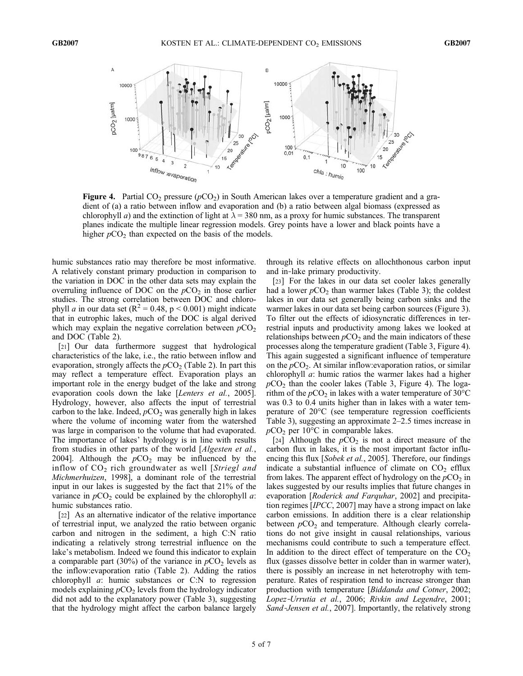

Figure 4. Partial  $CO_2$  pressure ( $pCO_2$ ) in South American lakes over a temperature gradient and a gradient of (a) a ratio between inflow and evaporation and (b) a ratio between algal biomass (expressed as chlorophyll a) and the extinction of light at  $\lambda = 380$  nm, as a proxy for humic substances. The transparent planes indicate the multiple linear regression models. Grey points have a lower and black points have a higher  $pCO<sub>2</sub>$  than expected on the basis of the models.

humic substances ratio may therefore be most informative. A relatively constant primary production in comparison to the variation in DOC in the other data sets may explain the overruling influence of DOC on the  $pCO<sub>2</sub>$  in those earlier studies. The strong correlation between DOC and chlorophyll *a* in our data set ( $R^2 = 0.48$ ,  $p < 0.001$ ) might indicate that in eutrophic lakes, much of the DOC is algal derived which may explain the negative correlation between  $pCO<sub>2</sub>$ and DOC (Table 2).

[21] Our data furthermore suggest that hydrological characteristics of the lake, i.e., the ratio between inflow and evaporation, strongly affects the  $pCO<sub>2</sub>$  (Table 2). In part this may reflect a temperature effect. Evaporation plays an important role in the energy budget of the lake and strong evaporation cools down the lake [Lenters et al., 2005]. Hydrology, however, also affects the input of terrestrial carbon to the lake. Indeed,  $pCO<sub>2</sub>$  was generally high in lakes where the volume of incoming water from the watershed was large in comparison to the volume that had evaporated. The importance of lakes' hydrology is in line with results from studies in other parts of the world [Algesten et al., 2004]. Although the  $pCO<sub>2</sub>$  may be influenced by the inflow of  $CO<sub>2</sub>$  rich groundwater as well [Striegl and Michmerhuizen, 1998], a dominant role of the terrestrial input in our lakes is suggested by the fact that 21% of the variance in  $pCO<sub>2</sub>$  could be explained by the chlorophyll *a*: humic substances ratio.

[22] As an alternative indicator of the relative importance of terrestrial input, we analyzed the ratio between organic carbon and nitrogen in the sediment, a high C:N ratio indicating a relatively strong terrestrial influence on the lake's metabolism. Indeed we found this indicator to explain a comparable part (30%) of the variance in  $pCO<sub>2</sub>$  levels as the inflow:evaporation ratio (Table 2). Adding the ratios chlorophyll  $\alpha$ : humic substances or C:N to regression models explaining  $pCO<sub>2</sub>$  levels from the hydrology indicator did not add to the explanatory power (Table 3), suggesting that the hydrology might affect the carbon balance largely through its relative effects on allochthonous carbon input and in‐lake primary productivity.

[23] For the lakes in our data set cooler lakes generally had a lower  $pCO<sub>2</sub>$  than warmer lakes (Table 3); the coldest lakes in our data set generally being carbon sinks and the warmer lakes in our data set being carbon sources (Figure 3). To filter out the effects of idiosyncratic differences in terrestrial inputs and productivity among lakes we looked at relationships between  $pCO<sub>2</sub>$  and the main indicators of these processes along the temperature gradient (Table 3, Figure 4). This again suggested a significant influence of temperature on the  $pCO<sub>2</sub>$ . At similar inflow: evaporation ratios, or similar chlorophyll a: humic ratios the warmer lakes had a higher  $pCO<sub>2</sub>$  than the cooler lakes (Table 3, Figure 4). The logarithm of the  $pCO_2$  in lakes with a water temperature of 30°C was 0.3 to 0.4 units higher than in lakes with a water temperature of 20°C (see temperature regression coefficients Table 3), suggesting an approximate 2–2.5 times increase in  $pCO<sub>2</sub>$  per 10°C in comparable lakes.

[24] Although the  $pCO<sub>2</sub>$  is not a direct measure of the carbon flux in lakes, it is the most important factor influencing this flux [Sobek et al., 2005]. Therefore, our findings indicate a substantial influence of climate on  $CO<sub>2</sub>$  efflux from lakes. The apparent effect of hydrology on the  $pCO<sub>2</sub>$  in lakes suggested by our results implies that future changes in evaporation [Roderick and Farquhar, 2002] and precipitation regimes [IPCC, 2007] may have a strong impact on lake carbon emissions. In addition there is a clear relationship between  $pCO<sub>2</sub>$  and temperature. Although clearly correlations do not give insight in causal relationships, various mechanisms could contribute to such a temperature effect. In addition to the direct effect of temperature on the  $CO<sub>2</sub>$ flux (gasses dissolve better in colder than in warmer water), there is possibly an increase in net heterotrophy with temperature. Rates of respiration tend to increase stronger than production with temperature [Biddanda and Cotner, 2002; Lopez‐Urrutia et al., 2006; Rivkin and Legendre, 2001; Sand-Jensen et al., 2007]. Importantly, the relatively strong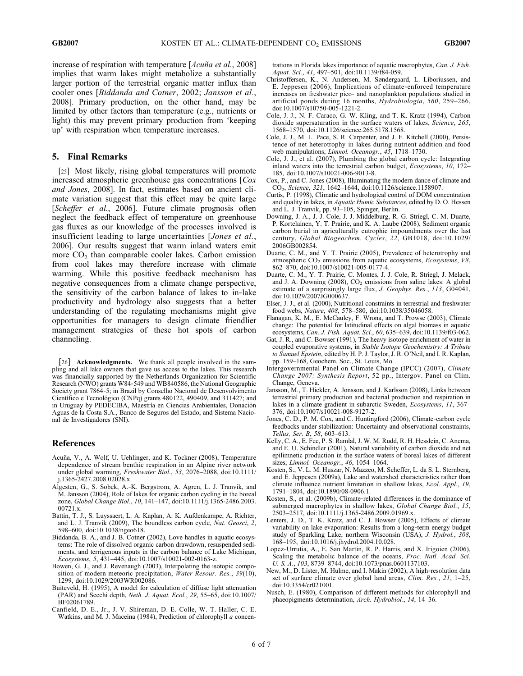increase of respiration with temperature [Acuña et al., 2008] implies that warm lakes might metabolize a substantially larger portion of the terrestrial organic matter influx than cooler ones [Biddanda and Cotner, 2002; Jansson et al., 2008]. Primary production, on the other hand, may be limited by other factors than temperature (e.g., nutrients or light) this may prevent primary production from 'keeping up' with respiration when temperature increases.

## 5. Final Remarks

[25] Most likely, rising global temperatures will promote increased atmospheric greenhouse gas concentrations [Cox and Jones, 2008]. In fact, estimates based on ancient climate variation suggest that this effect may be quite large [Scheffer et al., 2006]. Future climate prognosis often neglect the feedback effect of temperature on greenhouse gas fluxes as our knowledge of the processes involved is insufficient leading to large uncertainties [*Jones et al.*, 2006]. Our results suggest that warm inland waters emit more  $CO<sub>2</sub>$  than comparable cooler lakes. Carbon emission from cool lakes may therefore increase with climate warming. While this positive feedback mechanism has negative consequences from a climate change perspective, the sensitivity of the carbon balance of lakes to in‐lake productivity and hydrology also suggests that a better understanding of the regulating mechanisms might give opportunities for managers to design climate friendlier management strategies of these hot spots of carbon channeling.

[26] **Acknowledgments.** We thank all people involved in the sampling and all lake owners that gave us access to the lakes. This research was financially supported by the Netherlands Organization for Scientific Research (NWO) grants W84‐549 and WB840586, the National Geographic Society grant 7864‐5; in Brazil by Conselho Nacional de Desenvolvimento Científico e Tecnológico (CNPq) grants 480122, 490409, and 311427; and in Uruguay by PEDECIBA, Maestría en Ciencias Ambientales, Donación Aguas de la Costa S.A., Banco de Seguros del Estado, and Sistema Nacional de Investigadores (SNI).

#### References

- Acuña, V., A. Wolf, U. Uehlinger, and K. Tockner (2008), Temperature dependence of stream benthic respiration in an Alpine river network under global warming, Freshwater Biol., 53, 2076–2088, doi:10.1111/ j.1365-2427.2008.02028.x.
- Algesten, G., S. Sobek, A.‐K. Bergstrom, A. Agren, L. J. Tranvik, and M. Jansson (2004), Role of lakes for organic carbon cycling in the boreal zone, Global Change Biol., 10, 141–147, doi:10.1111/j.1365-2486.2003. 00721.x.
- Battin, T. J., S. Luyssaert, L. A. Kaplan, A. K. Aufdenkampe, A. Richter, and L. J. Tranvik (2009), The boundless carbon cycle, Nat. Geosci, 2, 598–600, doi:10.1038/ngeo618.
- Biddanda, B. A., and J. B. Cotner (2002), Love handles in aquatic ecosystems: The role of dissolved organic carbon drawdown, resuspended sediments, and terrigenous inputs in the carbon balance of Lake Michigan, Ecosystems, 5, 431–445, doi:10.1007/s10021-002-0163-z.
- Bowen, G. J., and J. Revenaugh (2003), Interpolating the isotopic composition of modern meteoric precipitation, Water Resour. Res., 39(10), 1299, doi:10.1029/2003WR002086.
- Buiteveld, H. (1995), A model for calculation of diffuse light attenuation (PAR) and Secchi depth, Neth. J. Aquat. Ecol., 29, 55–65, doi:10.1007/ BF02061789.
- Canfield, D. E., Jr., J. V. Shireman, D. E. Colle, W. T. Haller, C. E. Watkins, and M. J. Maceina (1984), Prediction of chlorophyll a concen-

trations in Florida lakes importance of aquatic macrophytes, Can. J. Fish. Aquat. Sci., 41, 497–501, doi:10.1139/f84-059.

- Christoffersen, K., N. Andersen, M. Søndergaard, L. Liboriussen, and E. Jeppesen (2006), Implications of climate‐enforced temperature increases on freshwater pico‐ and nanoplankton populations studied in artificial ponds during 16 months, Hydrobiologia, 560, 259–266, doi:10.1007/s10750-005-1221-2.
- Cole, J. J., N. F. Caraco, G. W. Kling, and T. K. Kratz (1994), Carbon dioxide supersaturation in the surface waters of lakes, Science, 265, 1568–1570, doi:10.1126/science.265.5178.1568.
- Cole, J. J., M. L. Pace, S. R. Carpenter, and J. F. Kitchell (2000), Persistence of net heterotrophy in lakes during nutrient addition and food web manipulations, *Limnol. Oceanogr.*, 45, 1718–1730.
- Cole, J. J., et al. (2007), Plumbing the global carbon cycle: Integrating inland waters into the terrestrial carbon budget, Ecosystems, 10, 172– 185, doi:10.1007/s10021-006-9013-8.
- Cox, P., and C. Jones (2008), Illuminating the modern dance of climate and CO2, Science, 321, 1642–1644, doi:10.1126/science.1158907.
- Curtis, P. (1998), Climatic and hydrological control of DOM concentration and quality in lakes, in Aquatic Humic Substances, edited by D. O. Hessen and L. J. Tranvik, pp. 93–105, Spinger, Berlin.
- Downing, J. A., J. J. Cole, J. J. Middelburg, R. G. Striegl, C. M. Duarte, P. Kortelainen, Y. T. Prairie, and K. A. Laube (2008), Sediment organic carbon burial in agriculturally eutrophic impoundments over the last century, Global Biogeochem. Cycles, 22, GB1018, doi:10.1029/ 2006GB002854.
- Duarte, C. M., and Y. T. Prairie (2005), Prevalence of heterotrophy and atmospheric  $CO<sub>2</sub>$  emissions from aquatic ecosystems, *Ecosystems*,  $V8$ , 862–870, doi:10.1007/s10021-005-0177-4.
- Duarte, C. M., Y. T. Prairie, C. Montes, J. J. Cole, R. Striegl, J. Melack, and J. A. Downing (2008),  $CO<sub>2</sub>$  emissions from saline lakes: A global estimate of a surprisingly large flux, J. Geophys. Res., 113, G04041, doi:10.1029/2007JG000637.
- Elser, J. J., et al. (2000), Nutritional constraints in terrestrial and freshwater food webs, Nature, 408, 578–580, doi:10.1038/35046058.
- Flanagan, K. M., E. McCauley, F. Wrona, and T. Prowse (2003), Climate change: The potential for latitudinal effects on algal biomass in aquatic ecosystems, Can. J. Fish. Aquat. Sci., 60, 635–639, doi:10.1139/f03-062.
- Gat, J. R., and C. Bowser (1991), The heavy isotope enrichment of water in coupled evaporative systems, in Stable Isotope Geochemistry: A Tribute to Samuel Epstein, edited by H. P. J. Taylor, J. R. O'Neil, and I. R. Kaplan, pp. 159–168, Geochem. Soc., St. Louis, Mo.
- Intergovernmental Panel on Climate Change (IPCC) (2007), Climate Change 2007: Synthesis Report, 52 pp., Intergov. Panel on Clim. Change, Geneva.
- Jansson, M., T. Hickler, A. Jonsson, and J. Karlsson (2008), Links between terrestrial primary production and bacterial production and respiration in lakes in a climate gradient in subarctic Sweden, Ecosystems, 11, 367– 376, doi:10.1007/s10021-008-9127-2.
- Jones, C. D., P. M. Cox, and C. Huntingford (2006), Climate‐carbon cycle feedbacks under stabilization: Uncertainty and observational constraints, Tellus, Ser. B, 58, 603–613.
- Kelly, C. A., E. Fee, P. S. Ramlal, J. W. M. Rudd, R. H. Hesslein, C. Anema, and E. U. Schindler (2001), Natural variability of carbon dioxide and net epilimnetic production in the surface waters of boreal lakes of different sizes, Limnol. Oceanogr., 46, 1054–1064.
- Kosten, S., V. L. M. Huszar, N. Mazzeo, M. Scheffer, L. da S. L. Sternberg, and E. Jeppesen (2009a), Lake and watershed characteristics rather than climate influence nutrient limitation in shallow lakes, Ecol. Appl., 19, 1791–1804, doi:10.1890/08-0906.1.
- Kosten, S., et al. (2009b), Climate-related differences in the dominance of submerged macrophytes in shallow lakes, Global Change Biol., 15, 2503–2517, doi:10.1111/j.1365-2486.2009.01969.x.
- Lenters, J. D., T. K. Kratz, and C. J. Bowser (2005), Effects of climate variability on lake evaporation: Results from a long‐term energy budget study of Sparkling Lake, northern Wisconsin (USA), J. Hydrol., 308, 168–195, doi:10.1016/j.jhydrol.2004.10.028.
- Lopez‐Urrutia, A., E. San Martin, R. P. Harris, and X. Irigoien (2006), Scaling the metabolic balance of the oceans, Proc. Natl. Acad. Sci. U. S. A., 103, 8739–8744, doi:10.1073/pnas.0601137103.
- New, M., D. Lister, M. Hulme, and I. Makin (2002), A high-resolution data set of surface climate over global land areas, Clim. Res., 21, 1-25, doi:10.3354/cr021001.
- Nusch, E. (1980), Comparison of different methods for chlorophyll and phaeopigments determination, Arch. Hydrobiol., 14, 14–36.